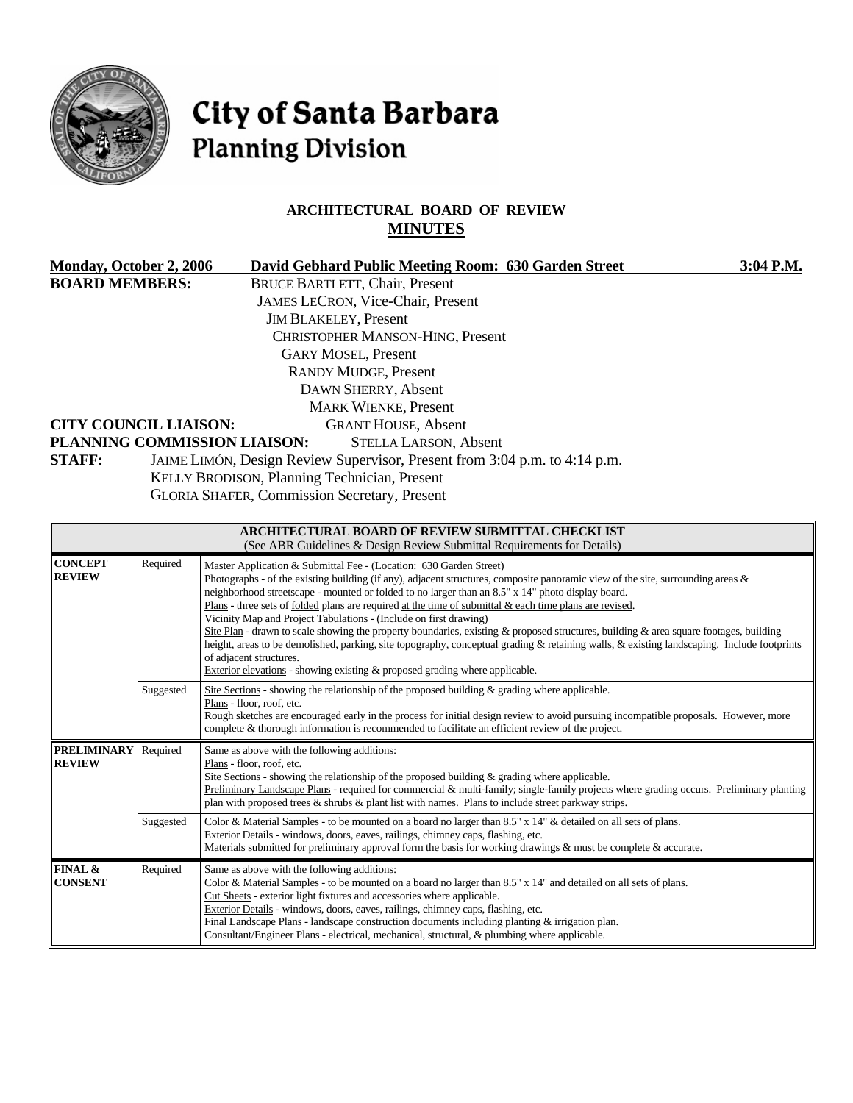

# City of Santa Barbara **Planning Division**

#### **ARCHITECTURAL BOARD OF REVIEW MINUTES**

| <b>Monday, October 2, 2006</b>                                         |           | David Gebhard Public Meeting Room: 630 Garden Street                                                                                                                                                                                                                                                                                                                                                                                                                                                                                                                                                                                                                                                                                                                                                                                                                                           | 3:04 P.M. |
|------------------------------------------------------------------------|-----------|------------------------------------------------------------------------------------------------------------------------------------------------------------------------------------------------------------------------------------------------------------------------------------------------------------------------------------------------------------------------------------------------------------------------------------------------------------------------------------------------------------------------------------------------------------------------------------------------------------------------------------------------------------------------------------------------------------------------------------------------------------------------------------------------------------------------------------------------------------------------------------------------|-----------|
| <b>BOARD MEMBERS:</b><br><b>CITY COUNCIL LIAISON:</b><br><b>STAFF:</b> |           | <b>BRUCE BARTLETT, Chair, Present</b><br>JAMES LECRON, Vice-Chair, Present<br><b>JIM BLAKELEY, Present</b><br>CHRISTOPHER MANSON-HING, Present<br><b>GARY MOSEL, Present</b><br><b>RANDY MUDGE, Present</b><br>DAWN SHERRY, Absent<br><b>MARK WIENKE, Present</b><br><b>GRANT HOUSE, Absent</b><br>PLANNING COMMISSION LIAISON:<br><b>STELLA LARSON, Absent</b><br>JAIME LIMÓN, Design Review Supervisor, Present from 3:04 p.m. to 4:14 p.m.<br>KELLY BRODISON, Planning Technician, Present                                                                                                                                                                                                                                                                                                                                                                                                  |           |
|                                                                        |           | <b>GLORIA SHAFER, Commission Secretary, Present</b>                                                                                                                                                                                                                                                                                                                                                                                                                                                                                                                                                                                                                                                                                                                                                                                                                                            |           |
|                                                                        |           | <b>ARCHITECTURAL BOARD OF REVIEW SUBMITTAL CHECKLIST</b><br>(See ABR Guidelines & Design Review Submittal Requirements for Details)                                                                                                                                                                                                                                                                                                                                                                                                                                                                                                                                                                                                                                                                                                                                                            |           |
| <b>CONCEPT</b><br><b>REVIEW</b>                                        | Required  | Master Application & Submittal Fee - (Location: 630 Garden Street)<br>Photographs - of the existing building (if any), adjacent structures, composite panoramic view of the site, surrounding areas $\&$<br>neighborhood streetscape - mounted or folded to no larger than an 8.5" x 14" photo display board.<br>Plans - three sets of folded plans are required at the time of submittal & each time plans are revised.<br>Vicinity Map and Project Tabulations - (Include on first drawing)<br>Site Plan - drawn to scale showing the property boundaries, existing & proposed structures, building & area square footages, building<br>height, areas to be demolished, parking, site topography, conceptual grading & retaining walls, & existing landscaping. Include footprints<br>of adjacent structures.<br>Exterior elevations - showing existing & proposed grading where applicable. |           |
|                                                                        | Suggested | Site Sections - showing the relationship of the proposed building & grading where applicable.<br>Plans - floor, roof, etc.<br>Rough sketches are encouraged early in the process for initial design review to avoid pursuing incompatible proposals. However, more<br>complete & thorough information is recommended to facilitate an efficient review of the project.                                                                                                                                                                                                                                                                                                                                                                                                                                                                                                                         |           |
| <b>PRELIMINARY</b> Required<br><b>REVIEW</b>                           |           | Same as above with the following additions:<br>Plans - floor, roof, etc.<br>Site Sections - showing the relationship of the proposed building & grading where applicable.<br>Preliminary Landscape Plans - required for commercial & multi-family; single-family projects where grading occurs. Preliminary planting<br>plan with proposed trees $\&$ shrubs $\&$ plant list with names. Plans to include street parkway strips.                                                                                                                                                                                                                                                                                                                                                                                                                                                               |           |
|                                                                        | Suggested | Color & Material Samples - to be mounted on a board no larger than $8.5"$ x $14"$ & detailed on all sets of plans.<br>Exterior Details - windows, doors, eaves, railings, chimney caps, flashing, etc.<br>Materials submitted for preliminary approval form the basis for working drawings & must be complete & accurate.                                                                                                                                                                                                                                                                                                                                                                                                                                                                                                                                                                      |           |
| FINAL &<br><b>CONSENT</b>                                              | Required  | Same as above with the following additions:<br>Color & Material Samples - to be mounted on a board no larger than 8.5" x 14" and detailed on all sets of plans.<br>Cut Sheets - exterior light fixtures and accessories where applicable.<br>Exterior Details - windows, doors, eaves, railings, chimney caps, flashing, etc.<br>Final Landscape Plans - landscape construction documents including planting & irrigation plan.<br>Consultant/Engineer Plans - electrical, mechanical, structural, & plumbing where applicable.                                                                                                                                                                                                                                                                                                                                                                |           |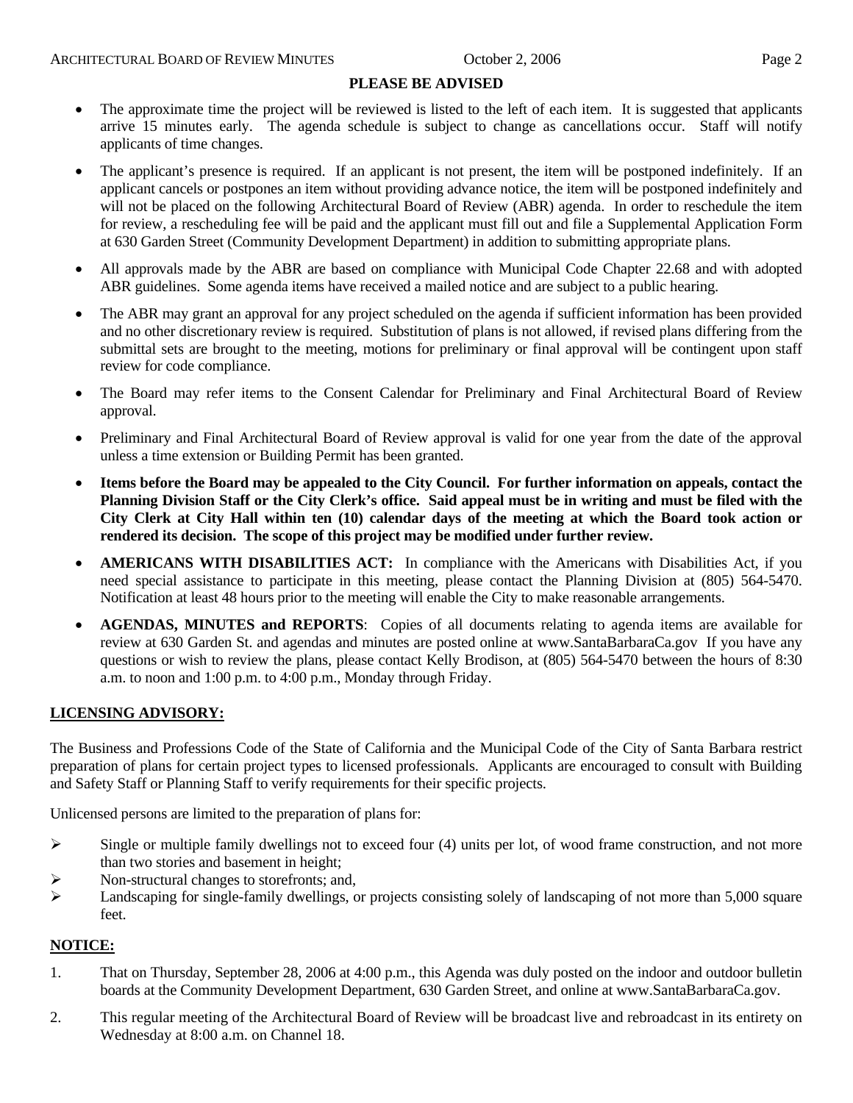#### **PLEASE BE ADVISED**

- The approximate time the project will be reviewed is listed to the left of each item. It is suggested that applicants arrive 15 minutes early. The agenda schedule is subject to change as cancellations occur. Staff will notify applicants of time changes.
- The applicant's presence is required. If an applicant is not present, the item will be postponed indefinitely. If an applicant cancels or postpones an item without providing advance notice, the item will be postponed indefinitely and will not be placed on the following Architectural Board of Review (ABR) agenda. In order to reschedule the item for review, a rescheduling fee will be paid and the applicant must fill out and file a Supplemental Application Form at 630 Garden Street (Community Development Department) in addition to submitting appropriate plans.
- All approvals made by the ABR are based on compliance with Municipal Code Chapter 22.68 and with adopted ABR guidelines. Some agenda items have received a mailed notice and are subject to a public hearing.
- The ABR may grant an approval for any project scheduled on the agenda if sufficient information has been provided and no other discretionary review is required. Substitution of plans is not allowed, if revised plans differing from the submittal sets are brought to the meeting, motions for preliminary or final approval will be contingent upon staff review for code compliance.
- The Board may refer items to the Consent Calendar for Preliminary and Final Architectural Board of Review approval.
- Preliminary and Final Architectural Board of Review approval is valid for one year from the date of the approval unless a time extension or Building Permit has been granted.
- **Items before the Board may be appealed to the City Council. For further information on appeals, contact the Planning Division Staff or the City Clerk's office. Said appeal must be in writing and must be filed with the City Clerk at City Hall within ten (10) calendar days of the meeting at which the Board took action or rendered its decision. The scope of this project may be modified under further review.**
- **AMERICANS WITH DISABILITIES ACT:** In compliance with the Americans with Disabilities Act, if you need special assistance to participate in this meeting, please contact the Planning Division at (805) 564-5470. Notification at least 48 hours prior to the meeting will enable the City to make reasonable arrangements.
- **AGENDAS, MINUTES and REPORTS**: Copies of all documents relating to agenda items are available for review at 630 Garden St. and agendas and minutes are posted online at [www.SantaBarbaraCa.gov](http://www.santabarbaraca.gov/) If you have any questions or wish to review the plans, please contact Kelly Brodison, at (805) 564-5470 between the hours of 8:30 a.m. to noon and 1:00 p.m. to 4:00 p.m., Monday through Friday.

#### **LICENSING ADVISORY:**

The Business and Professions Code of the State of California and the Municipal Code of the City of Santa Barbara restrict preparation of plans for certain project types to licensed professionals. Applicants are encouraged to consult with Building and Safety Staff or Planning Staff to verify requirements for their specific projects.

Unlicensed persons are limited to the preparation of plans for:

- $\triangleright$  Single or multiple family dwellings not to exceed four (4) units per lot, of wood frame construction, and not more than two stories and basement in height;
- ¾ Non-structural changes to storefronts; and,
- $\blacktriangleright$  Landscaping for single-family dwellings, or projects consisting solely of landscaping of not more than 5,000 square feet.

#### **NOTICE:**

- 1. That on Thursday, September 28, 2006 at 4:00 p.m., this Agenda was duly posted on the indoor and outdoor bulletin boards at the Community Development Department, 630 Garden Street, and online at www.SantaBarbaraCa.gov.
- 2. This regular meeting of the Architectural Board of Review will be broadcast live and rebroadcast in its entirety on Wednesday at 8:00 a.m. on Channel 18.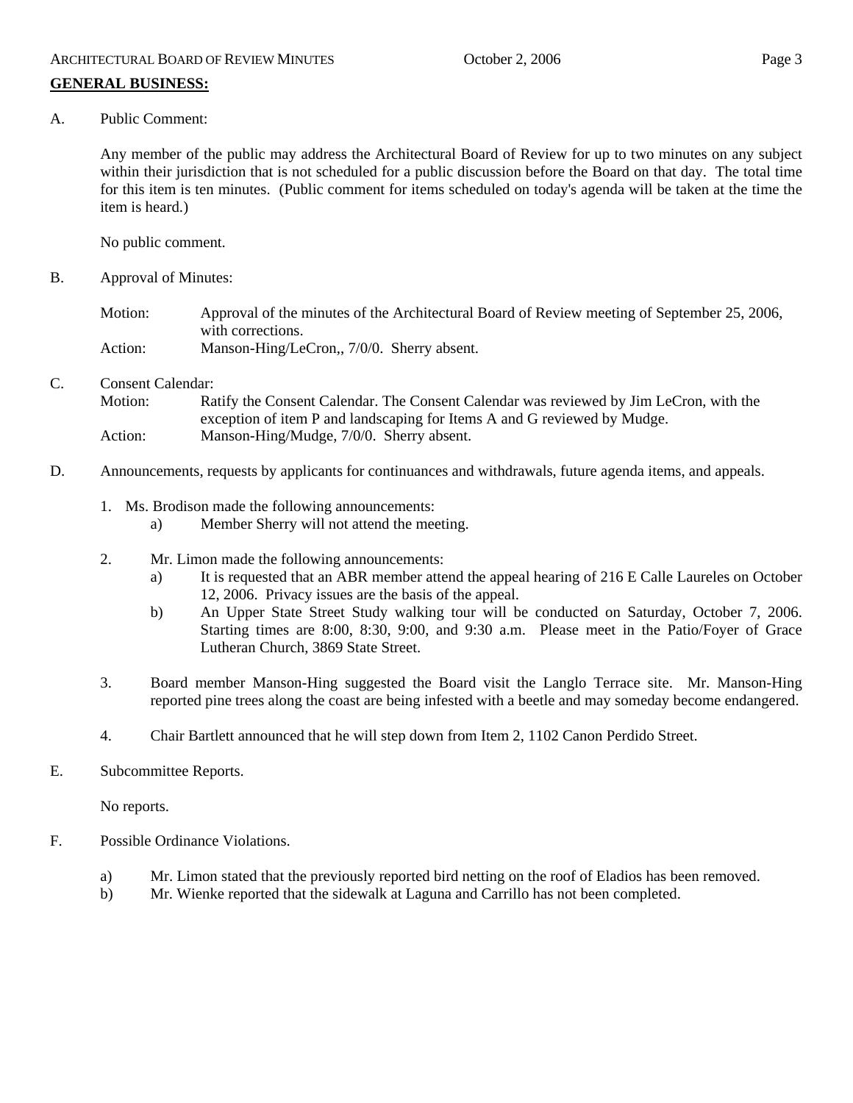A. Public Comment:

Any member of the public may address the Architectural Board of Review for up to two minutes on any subject within their jurisdiction that is not scheduled for a public discussion before the Board on that day. The total time for this item is ten minutes. (Public comment for items scheduled on today's agenda will be taken at the time the item is heard.)

No public comment.

B. Approval of Minutes:

Motion: Approval of the minutes of the Architectural Board of Review meeting of September 25, 2006, with corrections. Action: Manson-Hing/LeCron,, 7/0/0. Sherry absent.

C. Consent Calendar:

Motion: Ratify the Consent Calendar. The Consent Calendar was reviewed by Jim LeCron, with the exception of item P and landscaping for Items A and G reviewed by Mudge. Action: Manson-Hing/Mudge, 7/0/0. Sherry absent.

- D. Announcements, requests by applicants for continuances and withdrawals, future agenda items, and appeals.
	- 1. Ms. Brodison made the following announcements:
		- a) Member Sherry will not attend the meeting.
	- 2. Mr. Limon made the following announcements:
		- a) It is requested that an ABR member attend the appeal hearing of 216 E Calle Laureles on October 12, 2006. Privacy issues are the basis of the appeal.
		- b) An Upper State Street Study walking tour will be conducted on Saturday, October 7, 2006. Starting times are 8:00, 8:30, 9:00, and 9:30 a.m. Please meet in the Patio/Foyer of Grace Lutheran Church, 3869 State Street.
	- 3. Board member Manson-Hing suggested the Board visit the Langlo Terrace site. Mr. Manson-Hing reported pine trees along the coast are being infested with a beetle and may someday become endangered.
	- 4. Chair Bartlett announced that he will step down from Item 2, 1102 Canon Perdido Street.
- E. Subcommittee Reports.

No reports.

- F. Possible Ordinance Violations.
	- a) Mr. Limon stated that the previously reported bird netting on the roof of Eladios has been removed.
	- b) Mr. Wienke reported that the sidewalk at Laguna and Carrillo has not been completed.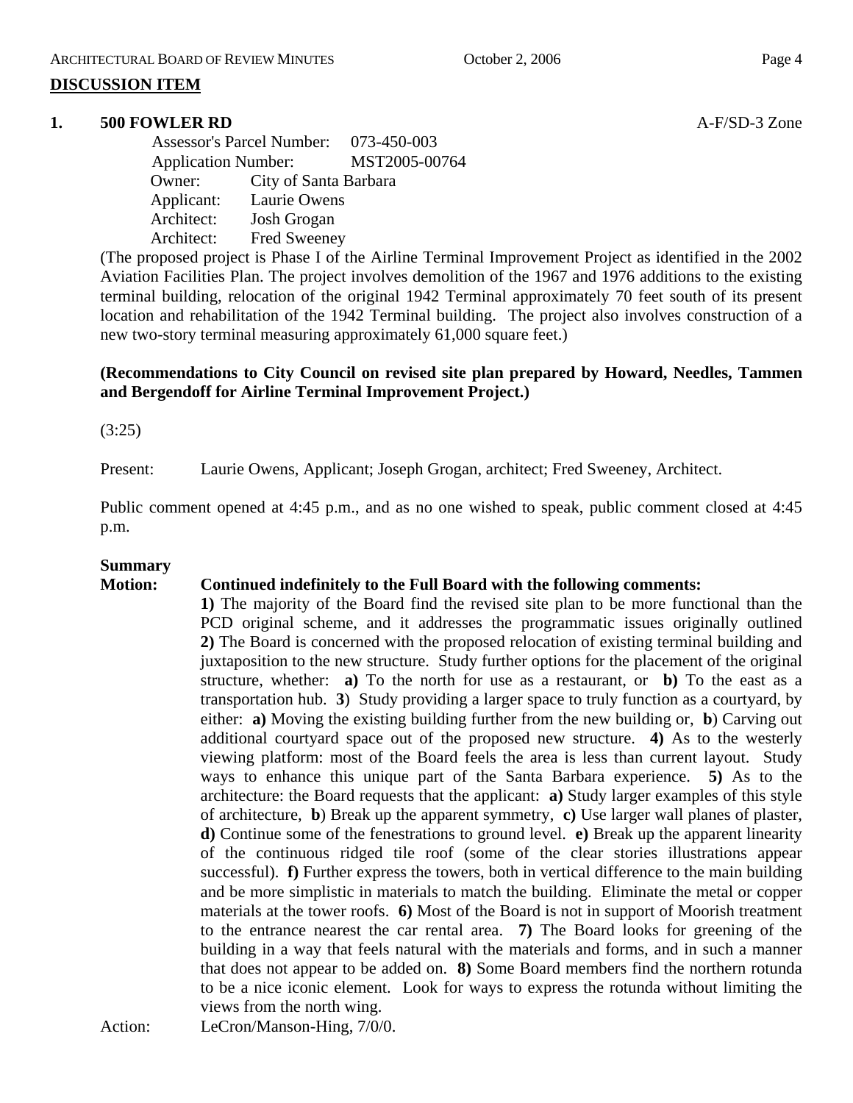#### **DISCUSSION ITEM**

#### **1. 500 FOWLER RD A-F/SD-3** Zone

 Assessor's Parcel Number: 073-450-003 Application Number: MST2005-00764 Owner: City of Santa Barbara Applicant: Laurie Owens Architect: Josh Grogan Architect: Fred Sweeney

(The proposed project is Phase I of the Airline Terminal Improvement Project as identified in the 2002 Aviation Facilities Plan. The project involves demolition of the 1967 and 1976 additions to the existing terminal building, relocation of the original 1942 Terminal approximately 70 feet south of its present location and rehabilitation of the 1942 Terminal building. The project also involves construction of a new two-story terminal measuring approximately 61,000 square feet.)

#### **(Recommendations to City Council on revised site plan prepared by Howard, Needles, Tammen and Bergendoff for Airline Terminal Improvement Project.)**

(3:25)

Present: Laurie Owens, Applicant; Joseph Grogan, architect; Fred Sweeney, Architect.

Public comment opened at 4:45 p.m., and as no one wished to speak, public comment closed at 4:45 p.m.

#### **Summary**

#### **Motion: Continued indefinitely to the Full Board with the following comments:**

**1)** The majority of the Board find the revised site plan to be more functional than the PCD original scheme, and it addresses the programmatic issues originally outlined **2)** The Board is concerned with the proposed relocation of existing terminal building and juxtaposition to the new structure. Study further options for the placement of the original structure, whether: **a)** To the north for use as a restaurant, or **b)** To the east as a transportation hub. **3**) Study providing a larger space to truly function as a courtyard, by either: **a)** Moving the existing building further from the new building or, **b**) Carving out additional courtyard space out of the proposed new structure. **4)** As to the westerly viewing platform: most of the Board feels the area is less than current layout. Study ways to enhance this unique part of the Santa Barbara experience. **5)** As to the architecture: the Board requests that the applicant: **a)** Study larger examples of this style of architecture, **b**) Break up the apparent symmetry, **c)** Use larger wall planes of plaster, **d)** Continue some of the fenestrations to ground level. **e)** Break up the apparent linearity of the continuous ridged tile roof (some of the clear stories illustrations appear successful). **f**) Further express the towers, both in vertical difference to the main building and be more simplistic in materials to match the building. Eliminate the metal or copper materials at the tower roofs. **6)** Most of the Board is not in support of Moorish treatment to the entrance nearest the car rental area. **7)** The Board looks for greening of the building in a way that feels natural with the materials and forms, and in such a manner that does not appear to be added on. **8)** Some Board members find the northern rotunda to be a nice iconic element. Look for ways to express the rotunda without limiting the views from the north wing.

Action: LeCron/Manson-Hing,  $7/0/0$ .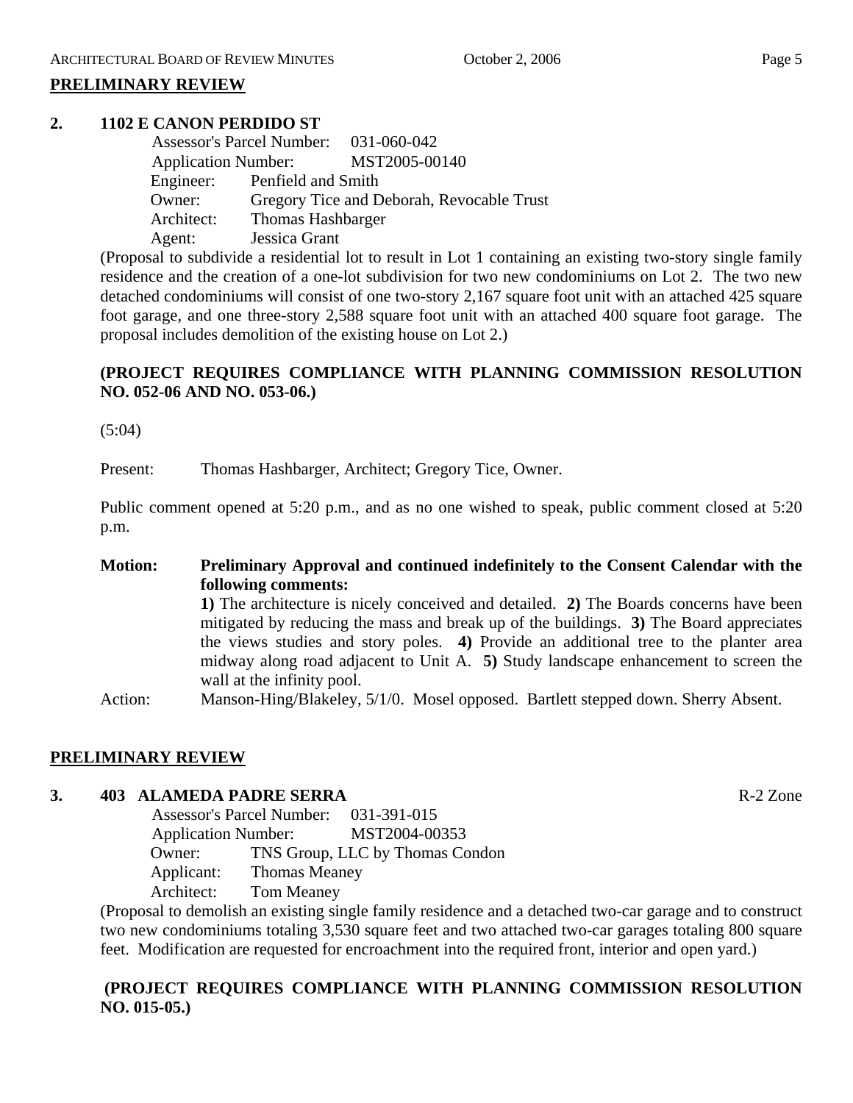#### **PRELIMINARY REVIEW**

#### **2. 1102 E CANON PERDIDO ST**

|            | Assessor's Parcel Number: 031-060-042 |                                           |
|------------|---------------------------------------|-------------------------------------------|
|            |                                       | Application Number: MST2005-00140         |
|            | Engineer: Penfield and Smith          |                                           |
| Owner:     |                                       | Gregory Tice and Deborah, Revocable Trust |
| Architect: | <b>Thomas Hashbarger</b>              |                                           |
| Agent:     | Jessica Grant                         |                                           |

(Proposal to subdivide a residential lot to result in Lot 1 containing an existing two-story single family residence and the creation of a one-lot subdivision for two new condominiums on Lot 2. The two new detached condominiums will consist of one two-story 2,167 square foot unit with an attached 425 square foot garage, and one three-story 2,588 square foot unit with an attached 400 square foot garage. The proposal includes demolition of the existing house on Lot 2.)

#### **(PROJECT REQUIRES COMPLIANCE WITH PLANNING COMMISSION RESOLUTION NO. 052-06 AND NO. 053-06.)**

(5:04)

Present: Thomas Hashbarger, Architect; Gregory Tice, Owner.

Public comment opened at 5:20 p.m., and as no one wished to speak, public comment closed at 5:20 p.m.

#### **Motion: Preliminary Approval and continued indefinitely to the Consent Calendar with the following comments:**

**1)** The architecture is nicely conceived and detailed. **2)** The Boards concerns have been mitigated by reducing the mass and break up of the buildings. **3)** The Board appreciates the views studies and story poles. **4)** Provide an additional tree to the planter area midway along road adjacent to Unit A. **5)** Study landscape enhancement to screen the wall at the infinity pool.

Action: Manson-Hing/Blakeley, 5/1/0. Mosel opposed. Bartlett stepped down. Sherry Absent.

#### **PRELIMINARY REVIEW**

#### **3. 403 ALAMEDA PADRE SERRA** R-2 Zone

 Assessor's Parcel Number: 031-391-015 Application Number: MST2004-00353 Owner: TNS Group, LLC by Thomas Condon Applicant: Thomas Meaney Architect: Tom Meaney

(Proposal to demolish an existing single family residence and a detached two-car garage and to construct two new condominiums totaling 3,530 square feet and two attached two-car garages totaling 800 square feet. Modification are requested for encroachment into the required front, interior and open yard.)

#### **(PROJECT REQUIRES COMPLIANCE WITH PLANNING COMMISSION RESOLUTION NO. 015-05.)**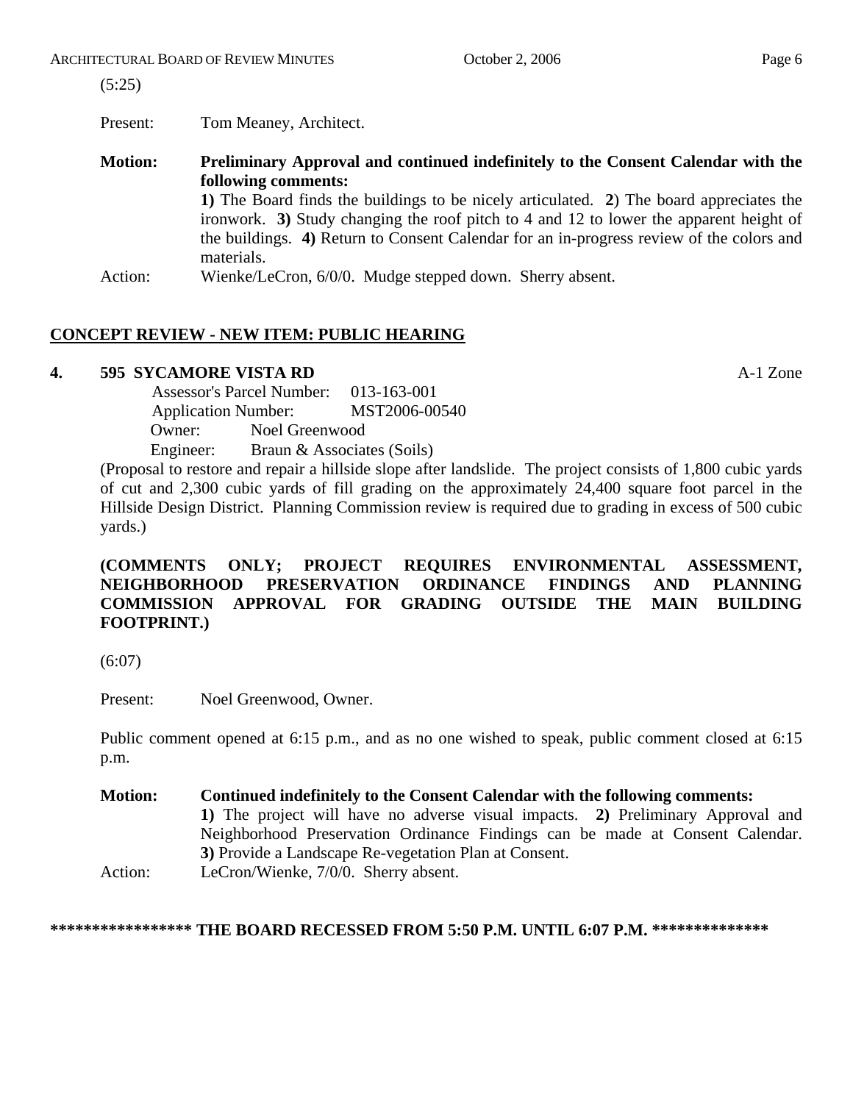Present: Tom Meaney, Architect.

**Motion: Preliminary Approval and continued indefinitely to the Consent Calendar with the following comments: 1)** The Board finds the buildings to be nicely articulated. **2**) The board appreciates the ironwork. **3)** Study changing the roof pitch to 4 and 12 to lower the apparent height of the buildings. **4)** Return to Consent Calendar for an in-progress review of the colors and

materials.

Action: Wienke/LeCron, 6/0/0. Mudge stepped down. Sherry absent.

#### **CONCEPT REVIEW - NEW ITEM: PUBLIC HEARING**

#### **4. 595 SYCAMORE VISTA RD** A-1 Zone

 Assessor's Parcel Number: 013-163-001 Application Number: MST2006-00540 Owner: Noel Greenwood Engineer: Braun & Associates (Soils)

(Proposal to restore and repair a hillside slope after landslide. The project consists of 1,800 cubic yards of cut and 2,300 cubic yards of fill grading on the approximately 24,400 square foot parcel in the Hillside Design District. Planning Commission review is required due to grading in excess of 500 cubic yards.)

#### **(COMMENTS ONLY; PROJECT REQUIRES ENVIRONMENTAL ASSESSMENT, NEIGHBORHOOD PRESERVATION ORDINANCE FINDINGS AND PLANNING COMMISSION APPROVAL FOR GRADING OUTSIDE THE MAIN BUILDING FOOTPRINT.)**

(6:07)

Present: Noel Greenwood, Owner.

Public comment opened at 6:15 p.m., and as no one wished to speak, public comment closed at 6:15 p.m.

**Motion: Continued indefinitely to the Consent Calendar with the following comments: 1)** The project will have no adverse visual impacts. **2)** Preliminary Approval and Neighborhood Preservation Ordinance Findings can be made at Consent Calendar. **3)** Provide a Landscape Re-vegetation Plan at Consent. Action: LeCron/Wienke, 7/0/0. Sherry absent.

**\*\*\*\*\*\*\*\*\*\*\*\*\*\*\*\*\* THE BOARD RECESSED FROM 5:50 P.M. UNTIL 6:07 P.M. \*\*\*\*\*\*\*\*\*\*\*\*\*\***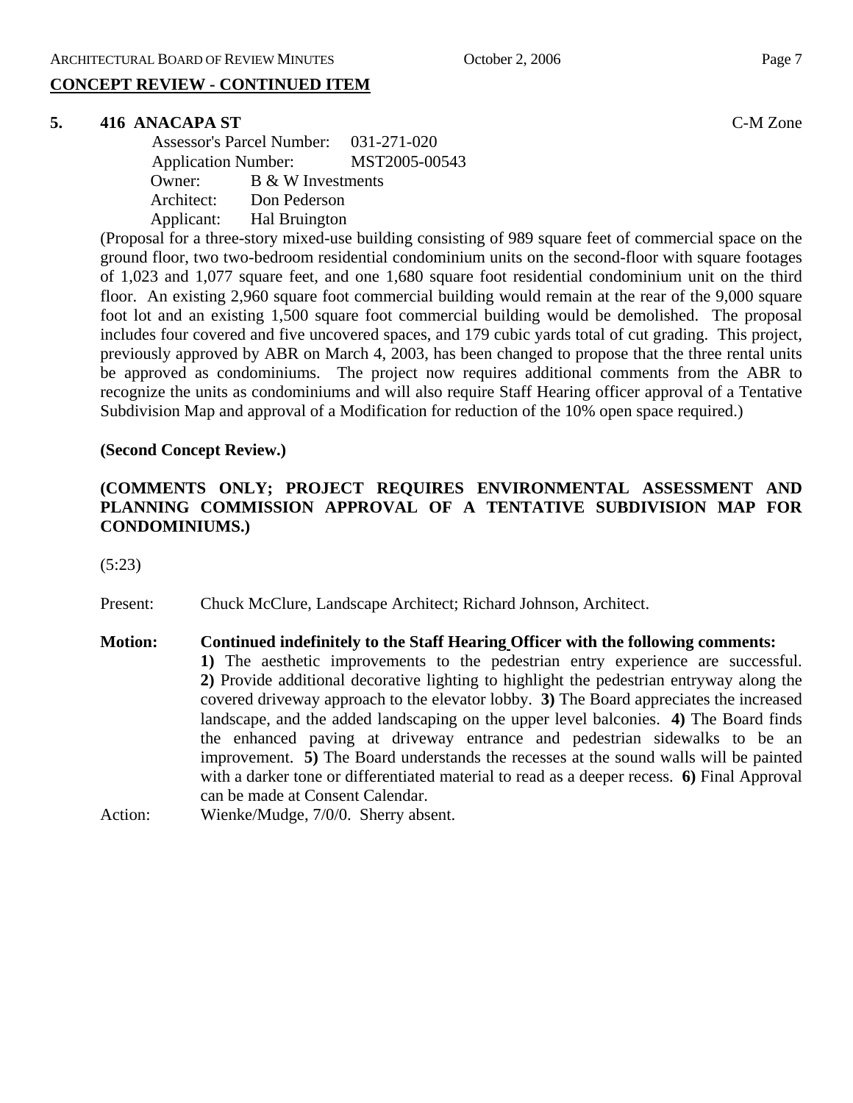#### **CONCEPT REVIEW - CONTINUED ITEM**

#### **5. 416 ANACAPA ST** C-M Zone

 Assessor's Parcel Number: 031-271-020 Application Number: MST2005-00543 Owner: B & W Investments Architect: Don Pederson Applicant: Hal Bruington

(Proposal for a three-story mixed-use building consisting of 989 square feet of commercial space on the ground floor, two two-bedroom residential condominium units on the second-floor with square footages of 1,023 and 1,077 square feet, and one 1,680 square foot residential condominium unit on the third floor. An existing 2,960 square foot commercial building would remain at the rear of the 9,000 square foot lot and an existing 1,500 square foot commercial building would be demolished. The proposal includes four covered and five uncovered spaces, and 179 cubic yards total of cut grading. This project, previously approved by ABR on March 4, 2003, has been changed to propose that the three rental units be approved as condominiums. The project now requires additional comments from the ABR to recognize the units as condominiums and will also require Staff Hearing officer approval of a Tentative Subdivision Map and approval of a Modification for reduction of the 10% open space required.)

#### **(Second Concept Review.)**

#### **(COMMENTS ONLY; PROJECT REQUIRES ENVIRONMENTAL ASSESSMENT AND PLANNING COMMISSION APPROVAL OF A TENTATIVE SUBDIVISION MAP FOR CONDOMINIUMS.)**

(5:23)

Present: Chuck McClure, Landscape Architect; Richard Johnson, Architect.

## **Motion: Continued indefinitely to the Staff Hearing Officer with the following comments:**

**1)** The aesthetic improvements to the pedestrian entry experience are successful. **2)** Provide additional decorative lighting to highlight the pedestrian entryway along the covered driveway approach to the elevator lobby. **3)** The Board appreciates the increased landscape, and the added landscaping on the upper level balconies. **4)** The Board finds the enhanced paving at driveway entrance and pedestrian sidewalks to be an improvement. **5)** The Board understands the recesses at the sound walls will be painted with a darker tone or differentiated material to read as a deeper recess. **6)** Final Approval can be made at Consent Calendar.

Action: Wienke/Mudge, 7/0/0. Sherry absent.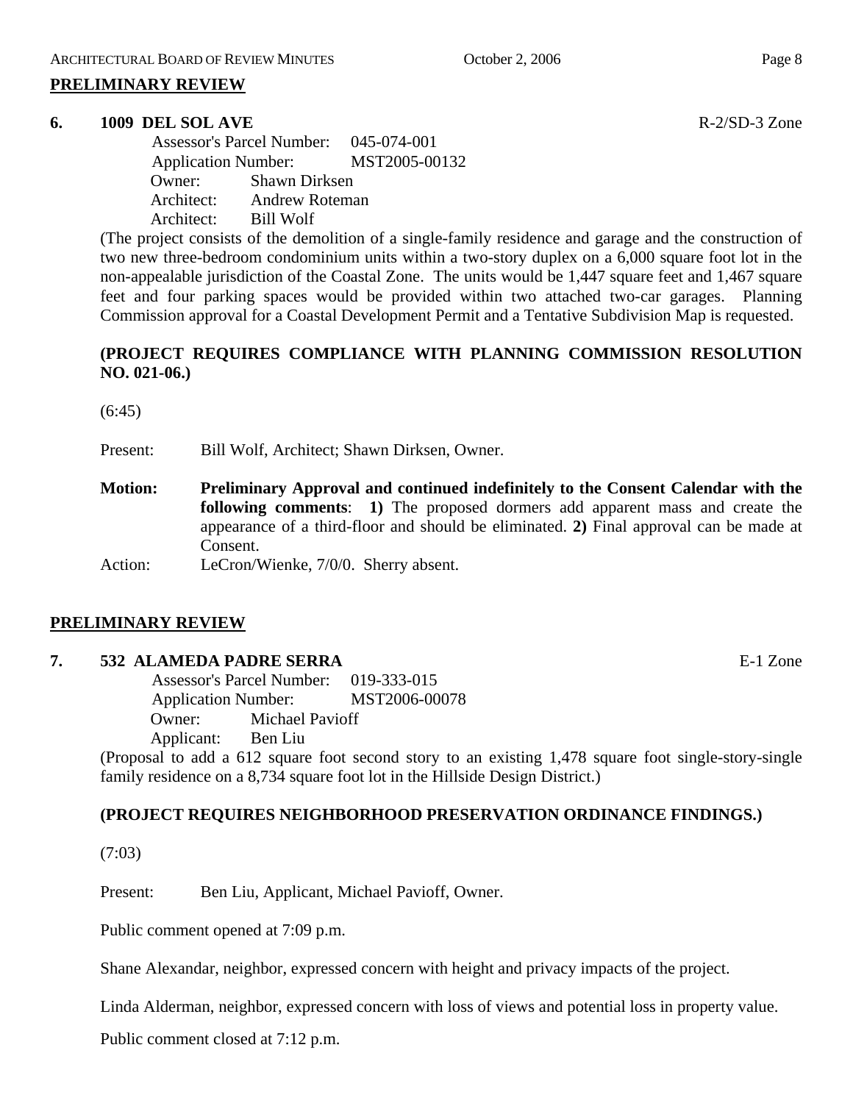#### **PRELIMINARY REVIEW**

#### **6. 1009 DEL SOL AVE** R-2/SD-3 Zone

 Assessor's Parcel Number: 045-074-001 Application Number: MST2005-00132 Owner: Shawn Dirksen Architect: Andrew Roteman Architect: Bill Wolf

(The project consists of the demolition of a single-family residence and garage and the construction of two new three-bedroom condominium units within a two-story duplex on a 6,000 square foot lot in the non-appealable jurisdiction of the Coastal Zone. The units would be 1,447 square feet and 1,467 square feet and four parking spaces would be provided within two attached two-car garages. Planning Commission approval for a Coastal Development Permit and a Tentative Subdivision Map is requested.

#### **(PROJECT REQUIRES COMPLIANCE WITH PLANNING COMMISSION RESOLUTION NO. 021-06.)**

(6:45)

Present: Bill Wolf, Architect; Shawn Dirksen, Owner.

**Motion: Preliminary Approval and continued indefinitely to the Consent Calendar with the following comments**: **1)** The proposed dormers add apparent mass and create the appearance of a third-floor and should be eliminated. **2)** Final approval can be made at Consent.

Action: LeCron/Wienke, 7/0/0. Sherry absent.

#### **PRELIMINARY REVIEW**

#### **7. 532 ALAMEDA PADRE SERRA** E-1 Zone

 Assessor's Parcel Number: 019-333-015 Application Number: MST2006-00078 Owner: Michael Pavioff Applicant: Ben Liu

(Proposal to add a 612 square foot second story to an existing 1,478 square foot single-story-single family residence on a 8,734 square foot lot in the Hillside Design District.)

#### **(PROJECT REQUIRES NEIGHBORHOOD PRESERVATION ORDINANCE FINDINGS.)**

(7:03)

Present: Ben Liu, Applicant, Michael Pavioff, Owner.

Public comment opened at 7:09 p.m.

Shane Alexandar, neighbor, expressed concern with height and privacy impacts of the project.

Linda Alderman, neighbor, expressed concern with loss of views and potential loss in property value.

Public comment closed at 7:12 p.m.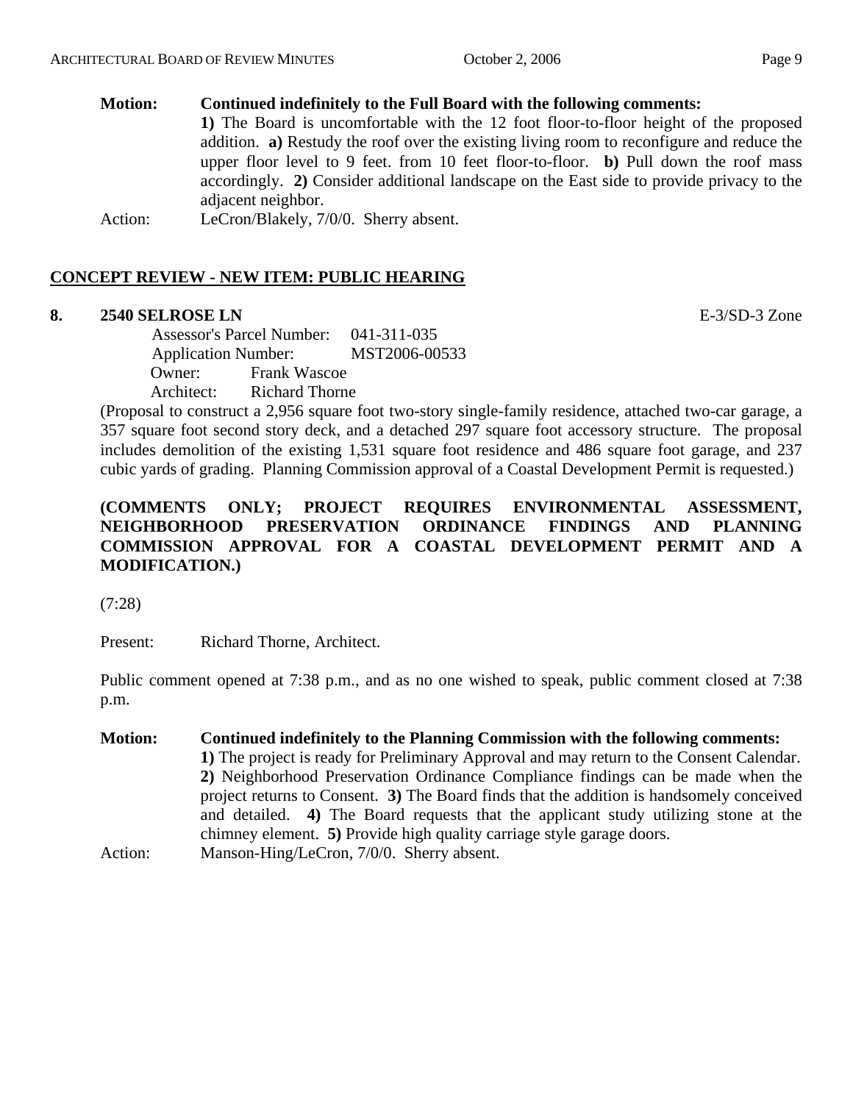#### **Motion: Continued indefinitely to the Full Board with the following comments:**

**1)** The Board is uncomfortable with the 12 foot floor-to-floor height of the proposed addition. **a)** Restudy the roof over the existing living room to reconfigure and reduce the upper floor level to 9 feet. from 10 feet floor-to-floor. **b)** Pull down the roof mass accordingly. **2)** Consider additional landscape on the East side to provide privacy to the adjacent neighbor.

Action: LeCron/Blakely, 7/0/0. Sherry absent.

#### **CONCEPT REVIEW - NEW ITEM: PUBLIC HEARING**

#### **8. 2540 SELROSE LN** E-3/SD-3 Zone

 Assessor's Parcel Number: 041-311-035 Application Number: MST2006-00533 Owner: Frank Wascoe Architect: Richard Thorne

(Proposal to construct a 2,956 square foot two-story single-family residence, attached two-car garage, a 357 square foot second story deck, and a detached 297 square foot accessory structure. The proposal includes demolition of the existing 1,531 square foot residence and 486 square foot garage, and 237 cubic yards of grading. Planning Commission approval of a Coastal Development Permit is requested.)

#### **(COMMENTS ONLY; PROJECT REQUIRES ENVIRONMENTAL ASSESSMENT, NEIGHBORHOOD PRESERVATION ORDINANCE FINDINGS AND PLANNING COMMISSION APPROVAL FOR A COASTAL DEVELOPMENT PERMIT AND A MODIFICATION.)**

(7:28)

Present: Richard Thorne, Architect.

Public comment opened at 7:38 p.m., and as no one wished to speak, public comment closed at 7:38 p.m.

**Motion: Continued indefinitely to the Planning Commission with the following comments: 1)** The project is ready for Preliminary Approval and may return to the Consent Calendar. **2)** Neighborhood Preservation Ordinance Compliance findings can be made when the project returns to Consent. **3)** The Board finds that the addition is handsomely conceived and detailed. **4)** The Board requests that the applicant study utilizing stone at the chimney element. **5)** Provide high quality carriage style garage doors. Action: Manson-Hing/LeCron, 7/0/0. Sherry absent.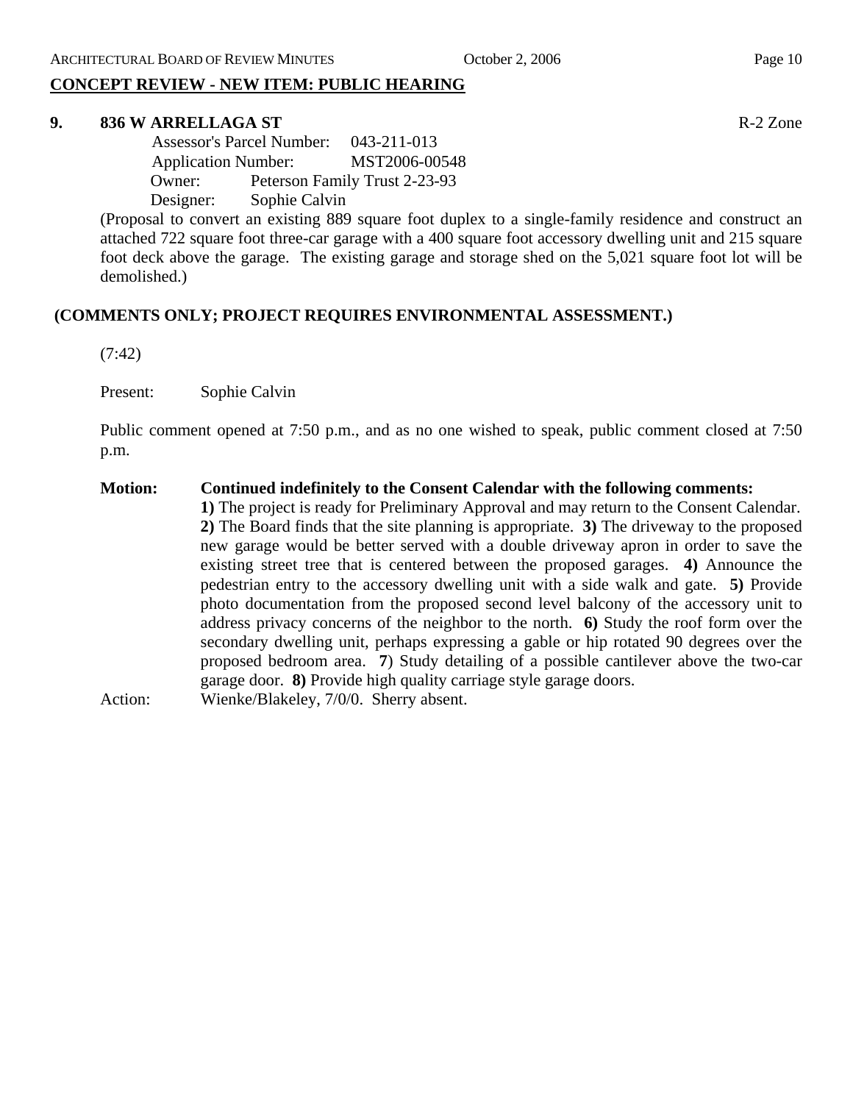### **CONCEPT REVIEW - NEW ITEM: PUBLIC HEARING**

#### **9. 836 W ARRELLAGA ST** R-2 Zone

 Assessor's Parcel Number: 043-211-013 Application Number: MST2006-00548 Owner: Peterson Family Trust 2-23-93 Designer: Sophie Calvin

(Proposal to convert an existing 889 square foot duplex to a single-family residence and construct an attached 722 square foot three-car garage with a 400 square foot accessory dwelling unit and 215 square foot deck above the garage. The existing garage and storage shed on the 5,021 square foot lot will be demolished.)

#### **(COMMENTS ONLY; PROJECT REQUIRES ENVIRONMENTAL ASSESSMENT.)**

(7:42)

Present: Sophie Calvin

Public comment opened at 7:50 p.m., and as no one wished to speak, public comment closed at 7:50 p.m.

#### **Motion: Continued indefinitely to the Consent Calendar with the following comments:**

**1)** The project is ready for Preliminary Approval and may return to the Consent Calendar. **2)** The Board finds that the site planning is appropriate. **3)** The driveway to the proposed new garage would be better served with a double driveway apron in order to save the existing street tree that is centered between the proposed garages. **4)** Announce the pedestrian entry to the accessory dwelling unit with a side walk and gate. **5)** Provide photo documentation from the proposed second level balcony of the accessory unit to address privacy concerns of the neighbor to the north. **6)** Study the roof form over the secondary dwelling unit, perhaps expressing a gable or hip rotated 90 degrees over the proposed bedroom area. **7**) Study detailing of a possible cantilever above the two-car garage door. **8)** Provide high quality carriage style garage doors.

Action: Wienke/Blakeley, 7/0/0. Sherry absent.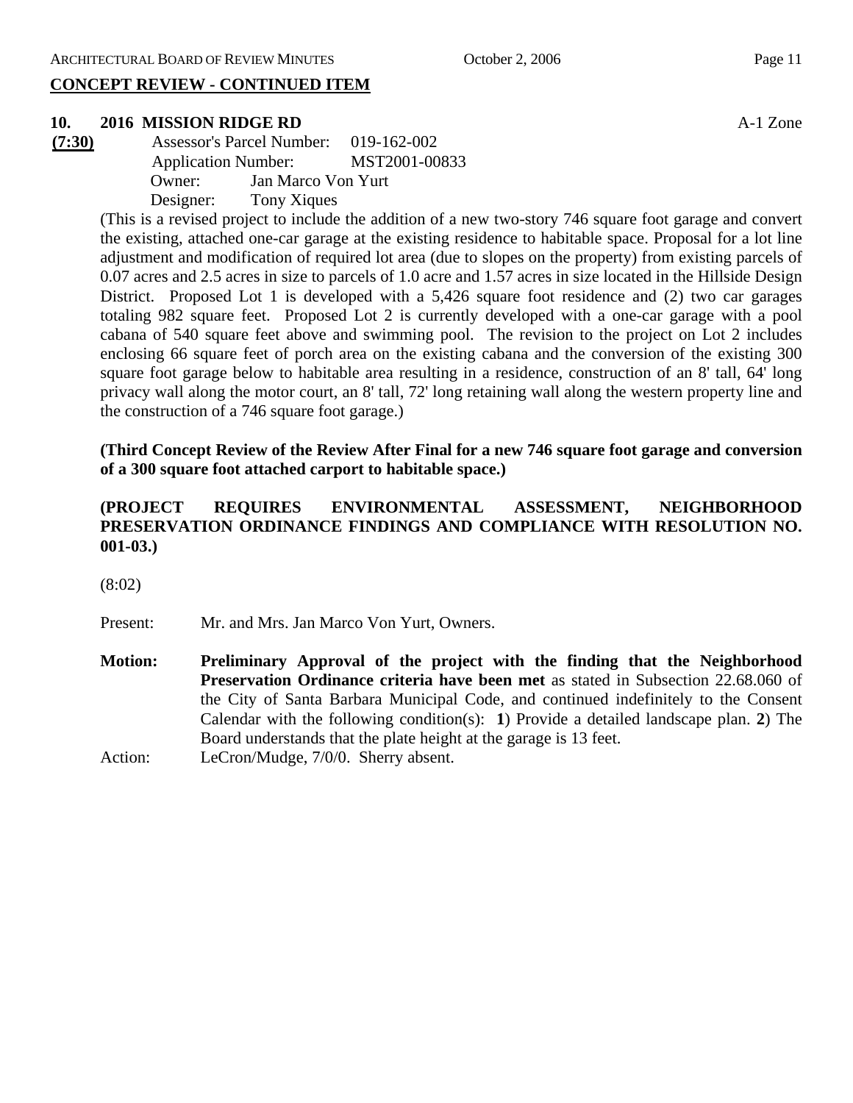#### **CONCEPT REVIEW - CONTINUED ITEM**

#### **10. 2016 MISSION RIDGE RD** A-1 Zone

**(7:30)** Assessor's Parcel Number: 019-162-002 Application Number: MST2001-00833 Owner: Jan Marco Von Yurt Designer: Tony Xiques

> (This is a revised project to include the addition of a new two-story 746 square foot garage and convert the existing, attached one-car garage at the existing residence to habitable space. Proposal for a lot line adjustment and modification of required lot area (due to slopes on the property) from existing parcels of 0.07 acres and 2.5 acres in size to parcels of 1.0 acre and 1.57 acres in size located in the Hillside Design District. Proposed Lot 1 is developed with a 5,426 square foot residence and (2) two car garages totaling 982 square feet. Proposed Lot 2 is currently developed with a one-car garage with a pool cabana of 540 square feet above and swimming pool. The revision to the project on Lot 2 includes enclosing 66 square feet of porch area on the existing cabana and the conversion of the existing 300 square foot garage below to habitable area resulting in a residence, construction of an 8' tall, 64' long privacy wall along the motor court, an 8' tall, 72' long retaining wall along the western property line and the construction of a 746 square foot garage.)

> **(Third Concept Review of the Review After Final for a new 746 square foot garage and conversion of a 300 square foot attached carport to habitable space.)**

#### **(PROJECT REQUIRES ENVIRONMENTAL ASSESSMENT, NEIGHBORHOOD PRESERVATION ORDINANCE FINDINGS AND COMPLIANCE WITH RESOLUTION NO. 001-03.)**

(8:02)

Present: Mr. and Mrs. Jan Marco Von Yurt, Owners.

**Motion: Preliminary Approval of the project with the finding that the Neighborhood Preservation Ordinance criteria have been met** as stated in Subsection 22.68.060 of the City of Santa Barbara Municipal Code, and continued indefinitely to the Consent Calendar with the following condition(s): **1**) Provide a detailed landscape plan. **2**) The Board understands that the plate height at the garage is 13 feet.

Action: LeCron/Mudge, 7/0/0. Sherry absent.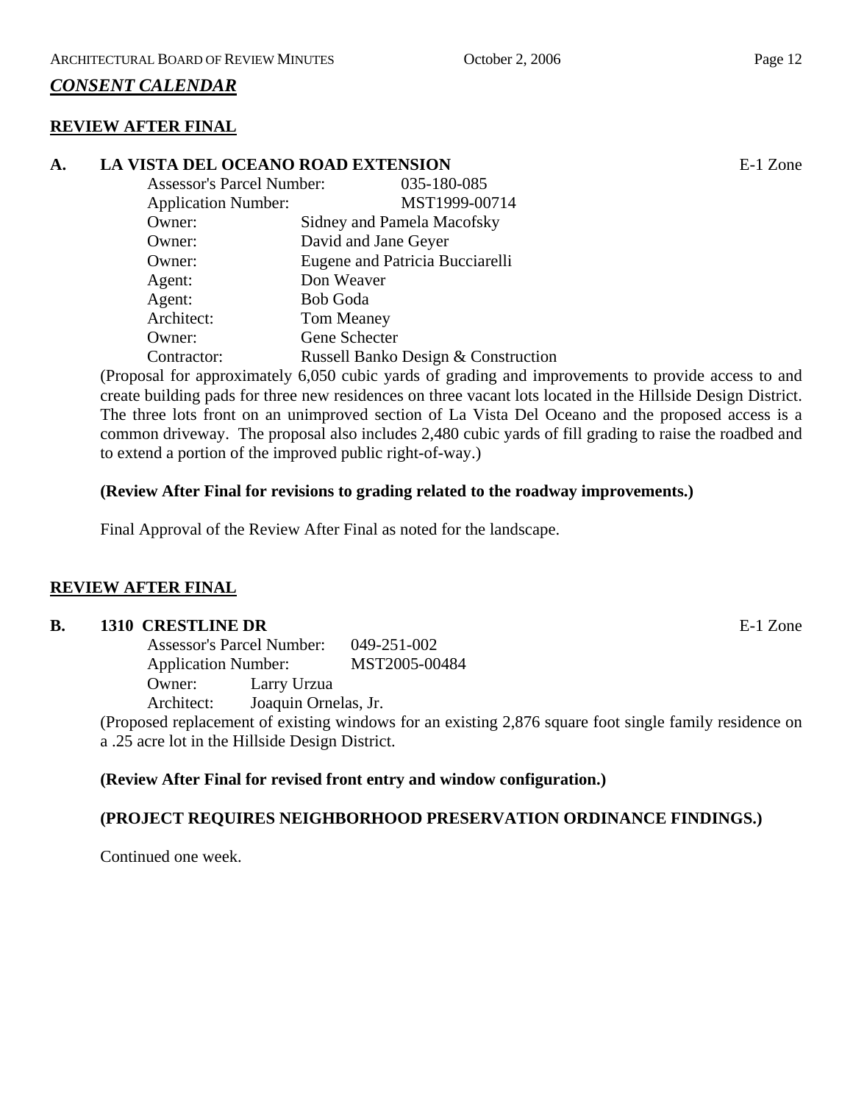#### *CONSENT CALENDAR*

#### **REVIEW AFTER FINAL**

#### **A. LA VISTA DEL OCEANO ROAD EXTENSION** E-1 Zone Assessor's Parcel Number: 035-180-085 Application Number: MST1999-00714 Owner: Sidney and Pamela Macofsky Owner: David and Jane Geyer Owner: Eugene and Patricia Bucciarelli Agent: Don Weaver Agent: Bob Goda

 Architect: Tom Meaney Owner: Gene Schecter Contractor: Russell Banko Design & Construction

(Proposal for approximately 6,050 cubic yards of grading and improvements to provide access to and create building pads for three new residences on three vacant lots located in the Hillside Design District. The three lots front on an unimproved section of La Vista Del Oceano and the proposed access is a common driveway. The proposal also includes 2,480 cubic yards of fill grading to raise the roadbed and to extend a portion of the improved public right-of-way.)

#### **(Review After Final for revisions to grading related to the roadway improvements.)**

Final Approval of the Review After Final as noted for the landscape.

#### **REVIEW AFTER FINAL**

#### **B.** 1310 CRESTLINE DR **E-1** Zone

Assessor's Parcel Number: 049-251-002 Application Number: MST2005-00484 Owner: Larry Urzua Architect: Joaquin Ornelas, Jr.

(Proposed replacement of existing windows for an existing 2,876 square foot single family residence on a .25 acre lot in the Hillside Design District.

#### **(Review After Final for revised front entry and window configuration.)**

#### **(PROJECT REQUIRES NEIGHBORHOOD PRESERVATION ORDINANCE FINDINGS.)**

Continued one week.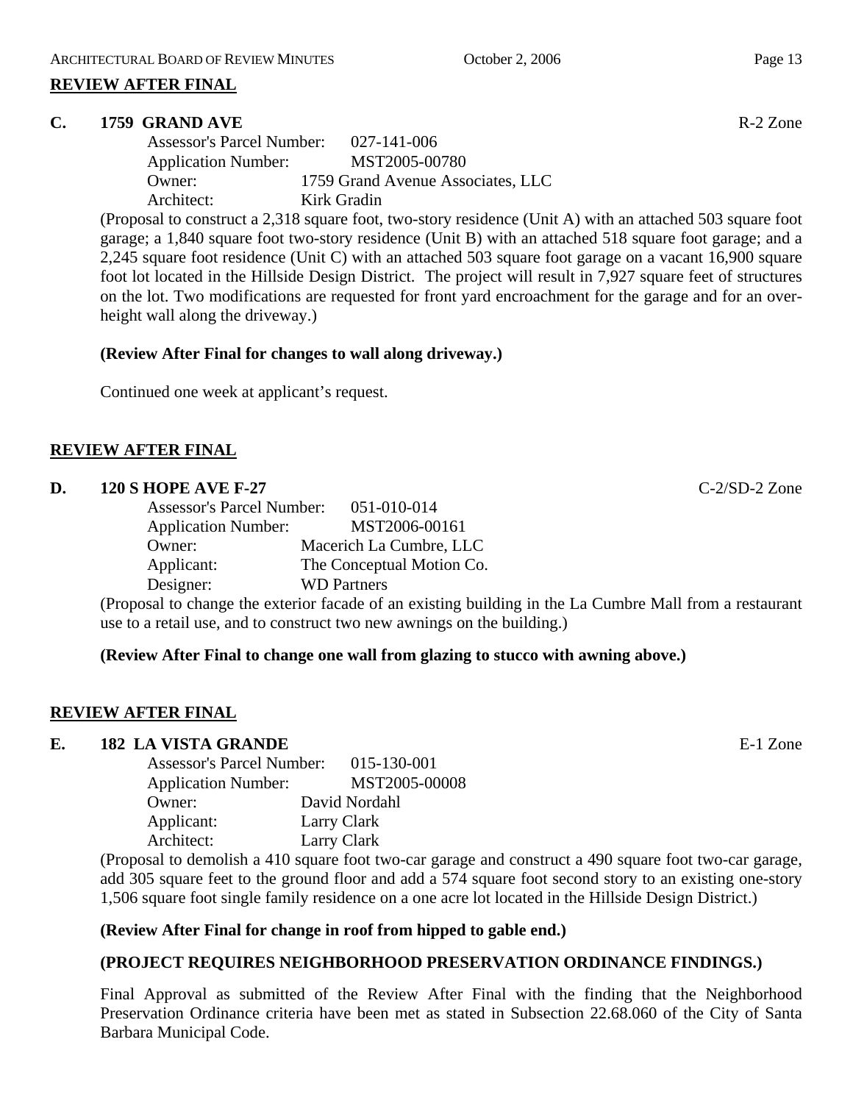#### **REVIEW AFTER FINAL**

#### **C. 1759 GRAND AVE** R-2 Zone

| <b>Assessor's Parcel Number:</b> | 027-141-006                       |
|----------------------------------|-----------------------------------|
| <b>Application Number:</b>       | MST2005-00780                     |
| Owner:                           | 1759 Grand Avenue Associates, LLC |
| Architect:                       | Kirk Gradin                       |

(Proposal to construct a 2,318 square foot, two-story residence (Unit A) with an attached 503 square foot garage; a 1,840 square foot two-story residence (Unit B) with an attached 518 square foot garage; and a 2,245 square foot residence (Unit C) with an attached 503 square foot garage on a vacant 16,900 square foot lot located in the Hillside Design District. The project will result in 7,927 square feet of structures on the lot. Two modifications are requested for front yard encroachment for the garage and for an overheight wall along the driveway.)

#### **(Review After Final for changes to wall along driveway.)**

Continued one week at applicant's request.

#### **REVIEW AFTER FINAL**

#### **D.** 120 S HOPE AVE F-27 **C-2/SD-2** Zone

| <b>Assessor's Parcel Number:</b> | 051-010-014               |
|----------------------------------|---------------------------|
| <b>Application Number:</b>       | MST2006-00161             |
| Owner:                           | Macerich La Cumbre, LLC   |
| Applicant:                       | The Conceptual Motion Co. |
| Designer:                        | <b>WD</b> Partners        |

(Proposal to change the exterior facade of an existing building in the La Cumbre Mall from a restaurant use to a retail use, and to construct two new awnings on the building.)

#### **(Review After Final to change one wall from glazing to stucco with awning above.)**

#### **REVIEW AFTER FINAL**

#### **E. 182 LA VISTA GRANDE** E-1 Zone

| <b>Assessor's Parcel Number:</b> | 015-130-001   |
|----------------------------------|---------------|
| <b>Application Number:</b>       | MST2005-00008 |
| Owner:                           | David Nordahl |
| Applicant:                       | Larry Clark   |
| Architect:                       | Larry Clark   |

(Proposal to demolish a 410 square foot two-car garage and construct a 490 square foot two-car garage, add 305 square feet to the ground floor and add a 574 square foot second story to an existing one-story 1,506 square foot single family residence on a one acre lot located in the Hillside Design District.)

#### **(Review After Final for change in roof from hipped to gable end.)**

#### **(PROJECT REQUIRES NEIGHBORHOOD PRESERVATION ORDINANCE FINDINGS.)**

Final Approval as submitted of the Review After Final with the finding that the Neighborhood Preservation Ordinance criteria have been met as stated in Subsection 22.68.060 of the City of Santa Barbara Municipal Code.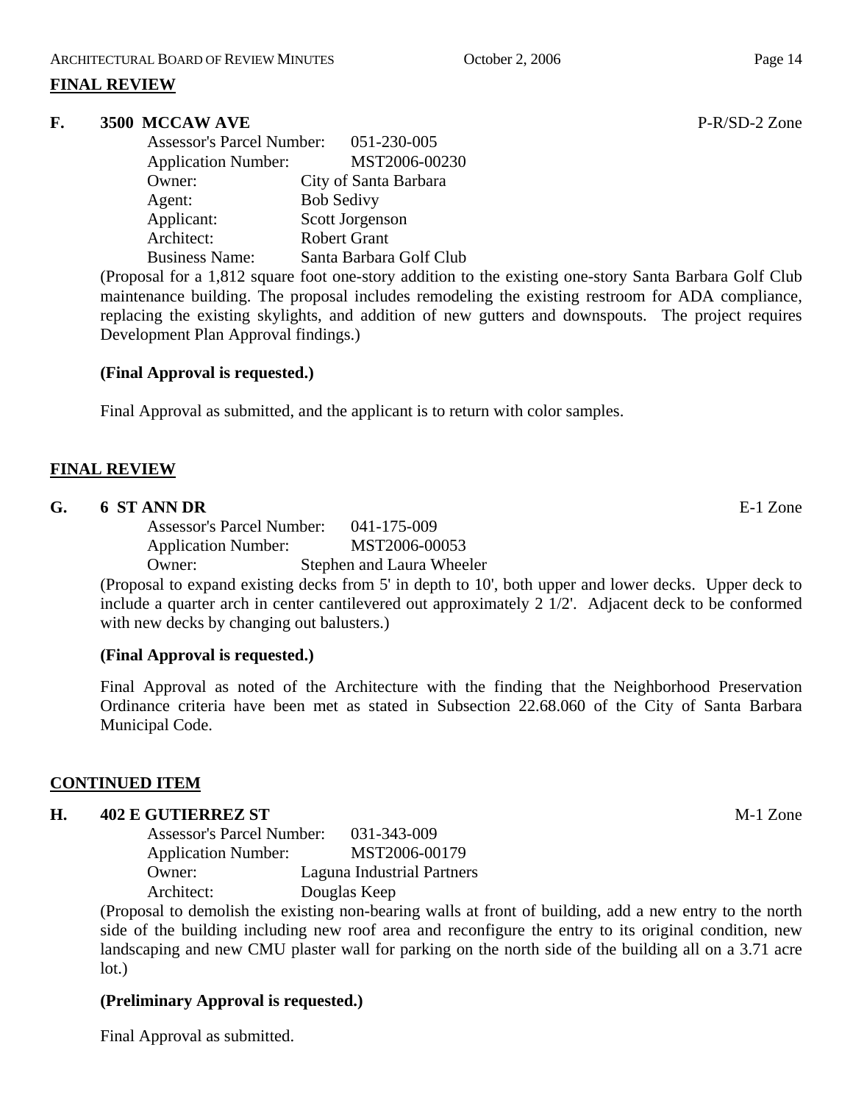#### **FINAL REVIEW**

#### **F. 3500 MCCAW AVE** P-R/SD-2 Zone

| Assessor's Parcel Number: 051-230-005 |                         |
|---------------------------------------|-------------------------|
| <b>Application Number:</b>            | MST2006-00230           |
| Owner:                                | City of Santa Barbara   |
| Agent:                                | <b>Bob Sedivy</b>       |
| Applicant:                            | Scott Jorgenson         |
| Architect:                            | <b>Robert Grant</b>     |
| <b>Business Name:</b>                 | Santa Barbara Golf Club |

(Proposal for a 1,812 square foot one-story addition to the existing one-story Santa Barbara Golf Club maintenance building. The proposal includes remodeling the existing restroom for ADA compliance, replacing the existing skylights, and addition of new gutters and downspouts. The project requires Development Plan Approval findings.)

#### **(Final Approval is requested.)**

Final Approval as submitted, and the applicant is to return with color samples.

#### **FINAL REVIEW**

#### **G. 6 ST ANN DR** E-1 Zone

Assessor's Parcel Number: 041-175-009 Application Number: MST2006-00053 Owner: Stephen and Laura Wheeler

(Proposal to expand existing decks from 5' in depth to 10', both upper and lower decks. Upper deck to include a quarter arch in center cantilevered out approximately 2 1/2'. Adjacent deck to be conformed with new decks by changing out balusters.)

#### **(Final Approval is requested.)**

Final Approval as noted of the Architecture with the finding that the Neighborhood Preservation Ordinance criteria have been met as stated in Subsection 22.68.060 of the City of Santa Barbara Municipal Code.

#### **CONTINUED ITEM**

#### **H. 402 E GUTIERREZ ST** M-1 Zone

Assessor's Parcel Number: 031-343-009 Application Number: MST2006-00179 Owner: Laguna Industrial Partners Architect: Douglas Keep

(Proposal to demolish the existing non-bearing walls at front of building, add a new entry to the north side of the building including new roof area and reconfigure the entry to its original condition, new landscaping and new CMU plaster wall for parking on the north side of the building all on a 3.71 acre lot.)

#### **(Preliminary Approval is requested.)**

Final Approval as submitted.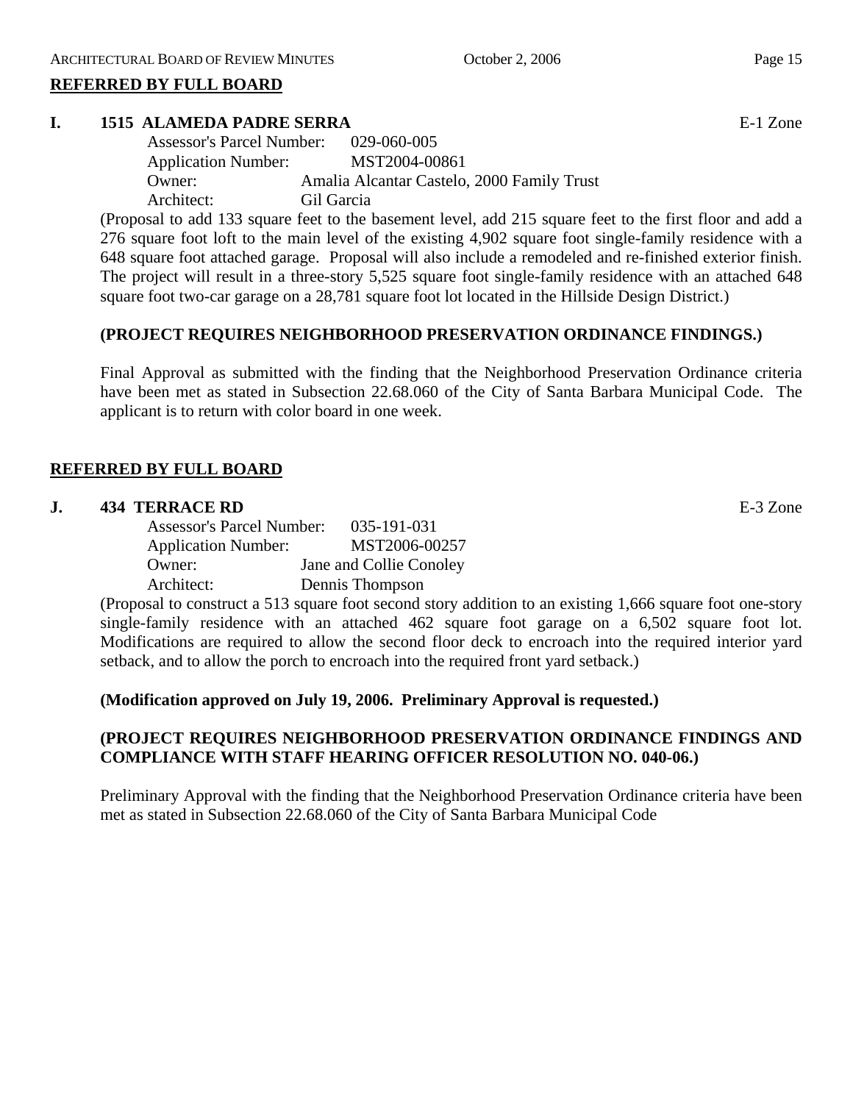#### **REFERRED BY FULL BOARD**

#### **I. 1515 ALAMEDA PADRE SERRA** E-1 Zone

| <b>Assessor's Parcel Number:</b> | 029-060-005                                |
|----------------------------------|--------------------------------------------|
| <b>Application Number:</b>       | MST2004-00861                              |
| $O$ wner:                        | Amalia Alcantar Castelo, 2000 Family Trust |
| Architect:                       | Gil Garcia                                 |

(Proposal to add 133 square feet to the basement level, add 215 square feet to the first floor and add a 276 square foot loft to the main level of the existing 4,902 square foot single-family residence with a 648 square foot attached garage. Proposal will also include a remodeled and re-finished exterior finish. The project will result in a three-story 5,525 square foot single-family residence with an attached 648 square foot two-car garage on a 28,781 square foot lot located in the Hillside Design District.)

#### **(PROJECT REQUIRES NEIGHBORHOOD PRESERVATION ORDINANCE FINDINGS.)**

Final Approval as submitted with the finding that the Neighborhood Preservation Ordinance criteria have been met as stated in Subsection 22.68.060 of the City of Santa Barbara Municipal Code. The applicant is to return with color board in one week.

#### **REFERRED BY FULL BOARD**

#### **J. 434 TERRACE RD** E-3 Zone

Assessor's Parcel Number: 035-191-031 Application Number: MST2006-00257 Owner: Jane and Collie Conoley Architect: Dennis Thompson

(Proposal to construct a 513 square foot second story addition to an existing 1,666 square foot one-story single-family residence with an attached 462 square foot garage on a 6,502 square foot lot. Modifications are required to allow the second floor deck to encroach into the required interior yard setback, and to allow the porch to encroach into the required front yard setback.)

#### **(Modification approved on July 19, 2006. Preliminary Approval is requested.)**

#### **(PROJECT REQUIRES NEIGHBORHOOD PRESERVATION ORDINANCE FINDINGS AND COMPLIANCE WITH STAFF HEARING OFFICER RESOLUTION NO. 040-06.)**

Preliminary Approval with the finding that the Neighborhood Preservation Ordinance criteria have been met as stated in Subsection 22.68.060 of the City of Santa Barbara Municipal Code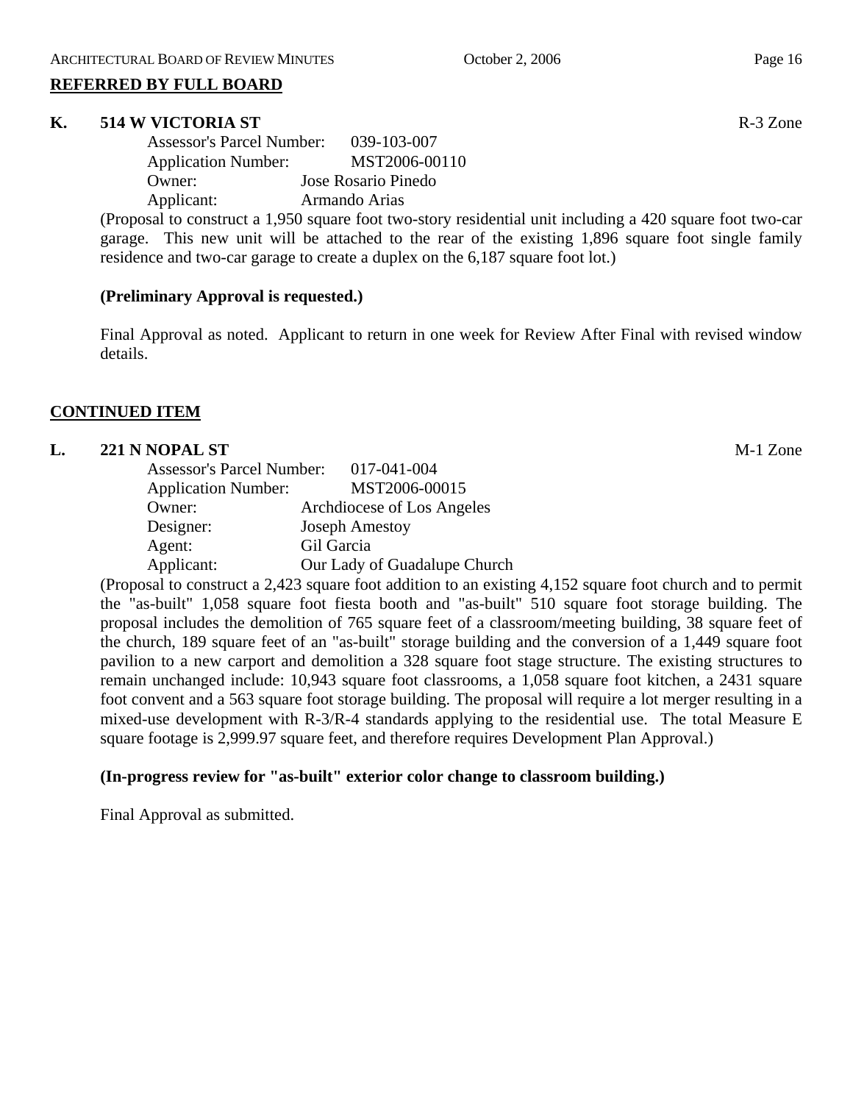#### **REFERRED BY FULL BOARD**

#### **K. 514 W VICTORIA ST** R-3 Zone

| <b>Assessor's Parcel Number:</b> | 039-103-007         |
|----------------------------------|---------------------|
| <b>Application Number:</b>       | MST2006-00110       |
| Owner:                           | Jose Rosario Pinedo |
| Applicant:                       | Armando Arias       |

(Proposal to construct a 1,950 square foot two-story residential unit including a 420 square foot two-car garage. This new unit will be attached to the rear of the existing 1,896 square foot single family residence and two-car garage to create a duplex on the 6,187 square foot lot.)

#### **(Preliminary Approval is requested.)**

Final Approval as noted. Applicant to return in one week for Review After Final with revised window details.

#### **CONTINUED ITEM**

#### **L. 221 N NOPAL ST** M-1 Zone

| <b>Assessor's Parcel Number:</b> | 017-041-004                  |
|----------------------------------|------------------------------|
| <b>Application Number:</b>       | MST2006-00015                |
| Owner:                           | Archdiocese of Los Angeles   |
| Designer:                        | <b>Joseph Amestoy</b>        |
| Agent:                           | Gil Garcia                   |
| Applicant:                       | Our Lady of Guadalupe Church |

(Proposal to construct a 2,423 square foot addition to an existing 4,152 square foot church and to permit the "as-built" 1,058 square foot fiesta booth and "as-built" 510 square foot storage building. The proposal includes the demolition of 765 square feet of a classroom/meeting building, 38 square feet of the church, 189 square feet of an "as-built" storage building and the conversion of a 1,449 square foot pavilion to a new carport and demolition a 328 square foot stage structure. The existing structures to remain unchanged include: 10,943 square foot classrooms, a 1,058 square foot kitchen, a 2431 square foot convent and a 563 square foot storage building. The proposal will require a lot merger resulting in a mixed-use development with R-3/R-4 standards applying to the residential use. The total Measure E square footage is 2,999.97 square feet, and therefore requires Development Plan Approval.)

#### **(In-progress review for "as-built" exterior color change to classroom building.)**

Final Approval as submitted.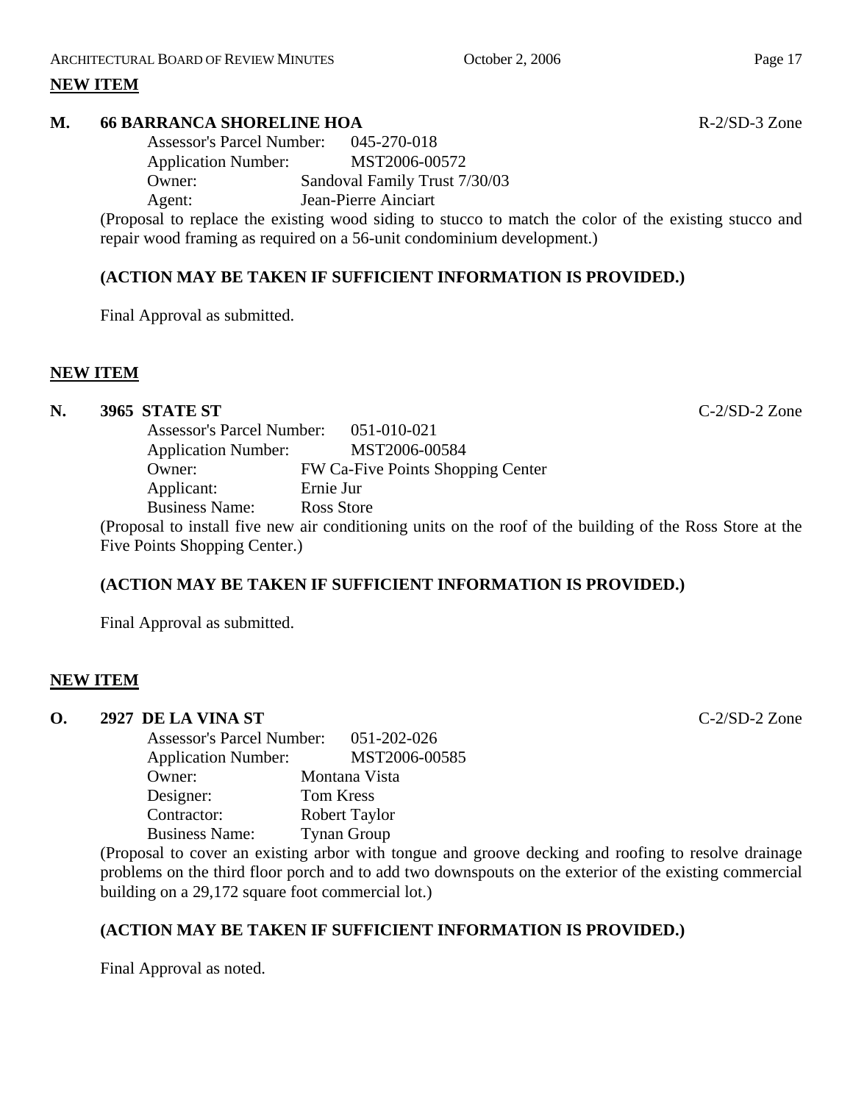#### **NEW ITEM**

#### **M. 66 BARRANCA SHORELINE HOA R-2/SD-3** Zone

Assessor's Parcel Number: 045-270-018 Application Number: MST2006-00572 Owner: Sandoval Family Trust 7/30/03 Agent: Jean-Pierre Ainciart

(Proposal to replace the existing wood siding to stucco to match the color of the existing stucco and repair wood framing as required on a 56-unit condominium development.)

#### **(ACTION MAY BE TAKEN IF SUFFICIENT INFORMATION IS PROVIDED.)**

Final Approval as submitted.

#### **NEW ITEM**

#### **N. 3965 STATE ST** C-2/SD-2 Zone

| <b>Assessor's Parcel Number:</b> | 051-010-021                                                                                               |  |
|----------------------------------|-----------------------------------------------------------------------------------------------------------|--|
| <b>Application Number:</b>       | MST2006-00584                                                                                             |  |
| Owner:                           | FW Ca-Five Points Shopping Center                                                                         |  |
| Applicant:                       | Ernie Jur                                                                                                 |  |
| <b>Business Name:</b>            | Ross Store                                                                                                |  |
|                                  | (Proposal to install five new air conditioning units on the roof of the building of the Ross Store at the |  |
| Five Points Shopping Center.)    |                                                                                                           |  |
|                                  |                                                                                                           |  |

#### **(ACTION MAY BE TAKEN IF SUFFICIENT INFORMATION IS PROVIDED.)**

Final Approval as submitted.

#### **NEW ITEM**

#### **O. 2927 DE LA VINA ST** C-2/SD-2 Zone

| <b>Assessor's Parcel Number:</b> | 051-202-026        |
|----------------------------------|--------------------|
| <b>Application Number:</b>       | MST2006-00585      |
| Owner:                           | Montana Vista      |
| Designer:                        | <b>Tom Kress</b>   |
| Contractor:                      | Robert Taylor      |
| <b>Business Name:</b>            | <b>Tynan Group</b> |

(Proposal to cover an existing arbor with tongue and groove decking and roofing to resolve drainage problems on the third floor porch and to add two downspouts on the exterior of the existing commercial building on a 29,172 square foot commercial lot.)

#### **(ACTION MAY BE TAKEN IF SUFFICIENT INFORMATION IS PROVIDED.)**

Final Approval as noted.